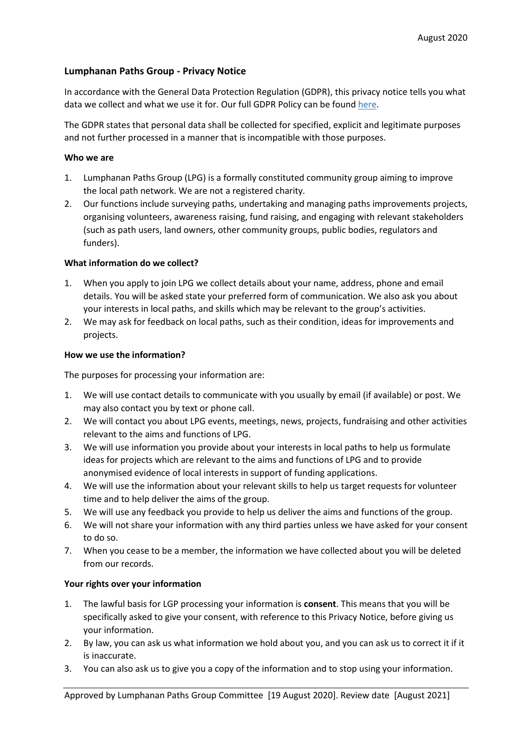# **Lumphanan Paths Group - Privacy Notice**

In accordance with the General Data Protection Regulation (GDPR), this privacy notice tells you what data we collect and what we use it for. Our full GDPR Policy can be found here.

The GDPR states that personal data shall be collected for specified, explicit and legitimate purposes and not further processed in a manner that is incompatible with those purposes.

#### **Who we are**

- 1. Lumphanan Paths Group (LPG) is a formally constituted community group aiming to improve the local path network. We are not a registered charity.
- 2. Our functions include surveying paths, undertaking and managing paths improvements projects, organising volunteers, awareness raising, fund raising, and engaging with relevant stakeholders (such as path users, land owners, other community groups, public bodies, regulators and funders).

## **What information do we collect?**

- 1. When you apply to join LPG we collect details about your name, address, phone and email details. You will be asked state your preferred form of communication. We also ask you about your interests in local paths, and skills which may be relevant to the group's activities.
- 2. We may ask for feedback on local paths, such as their condition, ideas for improvements and projects.

# **How we use the information?**

The purposes for processing your information are:

- 1. We will use contact details to communicate with you usually by email (if available) or post. We may also contact you by text or phone call.
- 2. We will contact you about LPG events, meetings, news, projects, fundraising and other activities relevant to the aims and functions of LPG.
- 3. We will use information you provide about your interests in local paths to help us formulate ideas for projects which are relevant to the aims and functions of LPG and to provide anonymised evidence of local interests in support of funding applications.
- 4. We will use the information about your relevant skills to help us target requests for volunteer time and to help deliver the aims of the group.
- 5. We will use any feedback you provide to help us deliver the aims and functions of the group.
- 6. We will not share your information with any third parties unless we have asked for your consent to do so.
- 7. When you cease to be a member, the information we have collected about you will be deleted from our records.

## **Your rights over your information**

- 1. The lawful basis for LGP processing your information is **consent**. This means that you will be specifically asked to give your consent, with reference to this Privacy Notice, before giving us your information.
- 2. By law, you can ask us what information we hold about you, and you can ask us to correct it if it is inaccurate.
- 3. You can also ask us to give you a copy of the information and to stop using your information.